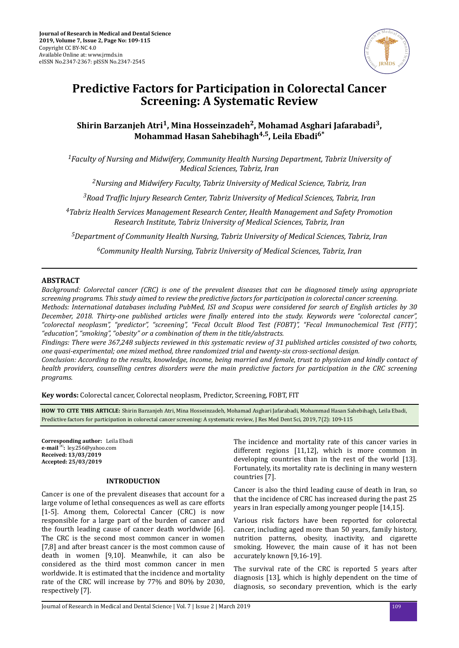

# **Predictive Factors for Participation in Colorectal Cancer Screening: A Systematic Review**

# $\boldsymbol{\mathrm{Shirin}}$  Barzanjeh Atri<sup>1</sup>, Mina Hosseinzadeh<sup>2</sup>, Mohamad Asghari Jafarabadi<sup>3</sup>, **Mohammad Hasan Sahebihagh4,5, Leila Ebadi6\***

*<sup>1</sup>Faculty of Nursing and Midwifery, Community Health Nursing Department, Tabriz University of Medical Sciences, Tabriz, Iran*

*<sup>2</sup>Nursing and Midwifery Faculty, Tabriz University of Medical Science, Tabriz, Iran*

*<sup>3</sup>Road ϔ lnjury Research Center, Tabriz University of Medical Sciences, Tabriz, Iran*

*<sup>4</sup>Tabriz Health Services Management Research Center, Health Management and Safety Promotion Research Institute, Tabriz University of Medical Sciences, Tabriz, Iran*

*<sup>5</sup>Department of Community Health Nursing, Tabriz University of Medical Sciences, Tabriz, Iran*

*<sup>6</sup>Community Health Nursing, Tabriz University of Medical Sciences, Tabriz, Iran*

# **ABSTRACT**

*Background: Colorectal cancer (CRC) is one of the prevalent diseases that can be diagnosed timely using appropriate screening programs. This study aimed to review the predictive factors for participation in colorectal cancer screening.*

*Methods: International databases including PubMed, ISI and Scopus were considered for search of English articles by 30 December, 2018. Thirty-one published articles were ϔ entered into the study. Keywords were "colorectal cancer", "colorectal neoplasm", "predictor", "screening", "Fecal Occult Blood Test (FOBT)", "Fecal Immunochemical Test (FIT)", "education", "smoking", "obesity" or a combination of them in the title/abstracts.*

*Findings: There were 367,248 subjects reviewed in this systematic review of 31 published articles consisted of two cohorts, one quasi-experimental; one mixed method, three randomized trial and twenty-six cross-sectional design.*

*Conclusion: According to the results, knowledge, income, being married and female, trust to physician and kindly contact of health providers, counselling centres disorders were the main predictive factors for participation in the CRC screening programs.*

**Key words:** Colorectal cancer, Colorectal neoplasm, Predictor, Screening, FOBT, FIT

**HOW TO CITE THIS ARTICLE:** Shirin Barzanjeh Atri, Mina Hosseinzadeh, Mohamad Asghari Jafarabadi, Mohammad Hasan Sahebihagh, Leila Ebadi, Predictive factors for participation in colorectal cancer screening: A systematic review, J Res Med Dent Sci, 2019, 7(2): 109-115

**Corresponding author:** Leila Ebadi **e-mail**<sup>52</sup>: ley.256@yahoo.com **Received: 13/03/2019 Accepted: 25/03/2019**

#### **INTRODUCTION**

Cancer is one of the prevalent diseases that account for a large volume of lethal consequences as well as care efforts [1-5]. Among them, Colorectal Cancer (CRC) is now responsible for a large part of the burden of cancer and the fourth leading cause of cancer death worldwide [6]. The CRC is the second most common cancer in women [7,8] and after breast cancer is the most common cause of death in women [9,10]. Meanwhile, it can also be considered as the third most common cancer in men worldwide. It is estimated that the incidence and mortality rate of the CRC will increase by 77% and 80% by 2030, respectively [7].

The incidence and mortality rate of this cancer varies in different regions [11,12], which is more common in developing countries than in the rest of the world [13]. Fortunately, its mortality rate is declining in many western countries [7].

Cancer is also the third leading cause of death in Iran, so that the incidence of CRC has increased during the past 25 years in Iran especially among younger people [14,15].

Various risk factors have been reported for colorectal cancer, including aged more than 50 years, family history, nutrition patterns, obesity, inactivity, and cigarette smoking. However, the main cause of it has not been accurately known [9,16-19].

The survival rate of the CRC is reported 5 years after diagnosis [13], which is highly dependent on the time of diagnosis, so secondary prevention, which is the early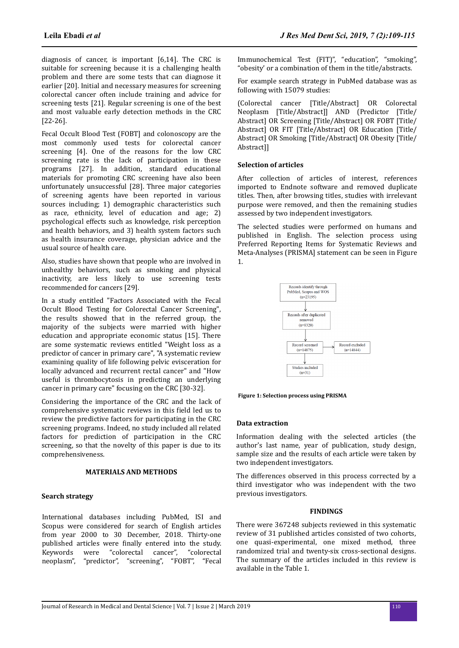diagnosis of cancer, is important [6,14]. The CRC is suitable for screening because it is a challenging health problem and there are some tests that can diagnose it earlier [20]. Initial and necessary measures for screening colorectal cancer often include training and advice for screening tests [21]. Regular screening is one of the best and most valuable early detection methods in the CRC [22-26].

Fecal Occult Blood Test (FOBT] and colonoscopy are the most commonly used tests for colorectal cancer screening [4]. One of the reasons for the low CRC screening rate is the lack of participation in these programs [27]. In addition, standard educational materials for promoting CRC screening have also been unfortunately unsuccessful [28]. Three major categories of screening agents have been reported in various sources including; 1) demographic characteristics such as race, ethnicity, level of education and age; 2) psychological effects such as knowledge, risk perception and health behaviors, and 3) health system factors such as health insurance coverage, physician advice and the usual source of health care.

Also, studies have shown that people who are involved in unhealthy behaviors, such as smoking and physical inactivity, are less likely to use screening tests recommended for cancers [29].

In a study entitled "Factors Associated with the Fecal Occult Blood Testing for Colorectal Cancer Screening", the results showed that in the referred group, the majority of the subjects were married with higher education and appropriate economic status [15]. There are some systematic reviews entitled "Weight loss as a predictor of cancer in primary care", "A systematic review examining quality of life following pelvic evisceration for locally advanced and recurrent rectal cancer" and "How useful is thrombocytosis in predicting an underlying cancer in primary care" focusing on the CRC [30-32].

Considering the importance of the CRC and the lack of comprehensive systematic reviews in this field led us to review the predictive factors for participating in the CRC screening programs. Indeed, no study included all related factors for prediction of participation in the CRC screening, so that the novelty of this paper is due to its comprehensiveness.

#### **MATERIALS AND METHODS**

#### **Search strategy**

International databases including PubMed, ISI and Scopus were considered for search of English articles from year 2000 to 30 December, 2018. Thirty-one published articles were finally entered into the study. Keywords were "colorectal cancer", "colorectal neoplasm", "predictor", "screening", "FOBT", "Fecal

Immunochemical Test (FIT)", "education", "smoking", "obesity' or a combination of them in the title/abstracts.

For example search strategy in PubMed database was as following with 15079 studies:

(Colorectal cancer [Title/Abstract] OR Colorectal Neoplasm [Title/Abstract]] AND (Predictor [Title/ Abstract] OR Screening [Title/Abstract] OR FOBT [Title/ Abstract] OR FIT [Title/Abstract] OR Education [Title/ Abstract] OR Smoking [Title/Abstract] OR Obesity [Title/ Abstract]]

#### **Selection of articles**

After collection of articles of interest, references imported to Endnote software and removed duplicate titles. Then, after browsing titles, studies with irrelevant purpose were removed, and then the remaining studies assessed by two independent investigators.

The selected studies were performed on humans and published in English. The selection process using Preferred Reporting Items for Systematic Reviews and Meta-Analyses (PRISMA] statement can be seen in Figure 1.



**Figure 1: Selection process using PRISMA**

#### **Data extraction**

Information dealing with the selected articles (the author's last name, year of publication, study design, sample size and the results of each article were taken by two independent investigators.

The differences observed in this process corrected by a third investigator who was independent with the two previous investigators.

#### **FINDINGS**

There were 367248 subjects reviewed in this systematic review of 31 published articles consisted of two cohorts, one quasi-experimental, one mixed method, three randomized trial and twenty-six cross-sectional designs. The summary of the articles included in this review is available in the Table 1.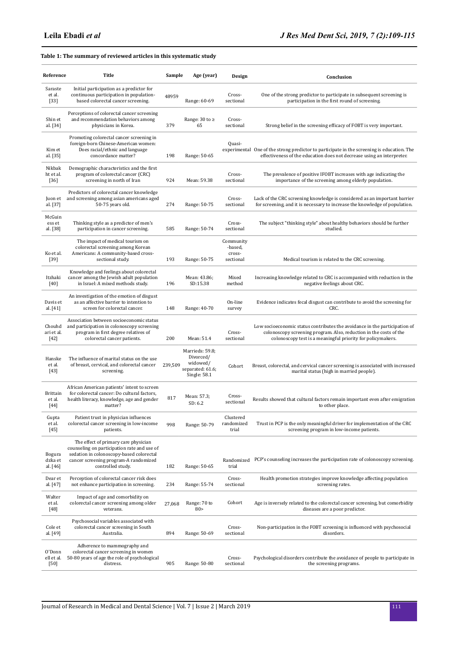# **Table 1: The summary of reviewed articles in this systematic study**

| Reference                           | Title                                                                                                                                                                                         | Sample  | Age (year)                                                                   | Design                                      | Conclusion                                                                                                                                                                                                      |
|-------------------------------------|-----------------------------------------------------------------------------------------------------------------------------------------------------------------------------------------------|---------|------------------------------------------------------------------------------|---------------------------------------------|-----------------------------------------------------------------------------------------------------------------------------------------------------------------------------------------------------------------|
| Saraste<br>et al.<br>$[33]$         | Initial participation as a predictor for<br>continuous participation in population-<br>based colorectal cancer screening.                                                                     | 48959   | Range: 60-69                                                                 | Cross-<br>sectional                         | One of the strong predictor to participate in subsequent screening is<br>participation in the first round of screening.                                                                                         |
| Shin et<br>al. [34]                 | Perceptions of colorectal cancer screening<br>and recommendation behaviors among<br>physicians in Korea.                                                                                      | 379     | Range: 30 to ≥<br>65                                                         | Cross-<br>sectional                         | Strong belief in the screening efficacy of FOBT is very important.                                                                                                                                              |
| Kim et<br>al. [35]                  | Promoting colorectal cancer screening in<br>foreign-born Chinese-American women:<br>Does racial/ethnic and language<br>concordance matter?                                                    | 198     | Range: 50-65                                                                 | Quasi-                                      | experimental One of the strong predictor to participate in the screening is education. The<br>effectiveness of the education does not decrease using an interpreter.                                            |
| Nikbak<br>ht et al.<br>$[36]$       | Demographic characteristics and the first<br>program of colorectal cancer (CRC)<br>screening in north of Iran                                                                                 | 924     | Mean: 59.38                                                                  | Cross-<br>sectional                         | The prevalence of positive IFOBT increases with age indicating the<br>importance of the screening among elderly population.                                                                                     |
| Juon et<br>al. [37]                 | Predictors of colorectal cancer knowledge<br>and screening among asian americans aged<br>50-75 years old.                                                                                     | 274     | Range: 50-75                                                                 | Cross-<br>sectional                         | Lack of the CRC screening knowledge is considered as an important barrier<br>for screening, and it is necessary to increase the knowledge of population.                                                        |
| McGuin<br>ess et<br>al. [38]        | Thinking style as a predictor of men's<br>participation in cancer screening.                                                                                                                  | 585     | Range: 50-74                                                                 | Cross-<br>sectional                         | The subject "thinking style" about healthy behaviors should be further<br>studied.                                                                                                                              |
| Ko et al.<br>$[39]$                 | The impact of medical tourism on<br>colorectal screening among Korean<br>Americans: A community-based cross-<br>sectional study.                                                              | 193     | Range: 50-75                                                                 | Community<br>-based,<br>cross-<br>sectional | Medical tourism is related to the CRC screening.                                                                                                                                                                |
| Itzhaki<br>[40]                     | Knowledge and feelings about colorectal<br>cancer among the Jewish adult population<br>in Israel: A mixed methods study.                                                                      | 196     | Mean: 43.86;<br>SD:15.38                                                     | Mixed<br>method                             | Increasing knowledge related to CRC is accompanied with reduction in the<br>negative feelings about CRC.                                                                                                        |
| Davis et<br>al. [41]                | An investigation of the emotion of disgust<br>as an affective barrier to intention to<br>screen for colorectal cancer.                                                                        | 148     | Range: 40-70                                                                 | On-line<br>survey                           | Evidence indicates fecal disgust can contribute to avoid the screening for<br>CRC.                                                                                                                              |
| Chouhd<br>ari et al.<br>$[42]$      | Association between socioeconomic status<br>and participation in colonoscopy screening<br>program in first degree relatives of<br>colorectal cancer patients.                                 | 200     | Mean: 51.4                                                                   | Cross-<br>sectional                         | Low socioeconomic status contributes the avoidance in the participation of<br>colonoscopy screening program. Also, reduction in the costs of the<br>colonoscopy test is a meaningful priority for policymakers. |
| Hanske<br>et al.<br>$[43]$          | The influence of marital status on the use<br>of breast, cervical, and colorectal cancer<br>screening.                                                                                        | 239,509 | Marrieds: 59.8;<br>Divorced/<br>widowed/<br>separated: 61.6;<br>Single: 58.1 | Cohort                                      | Breast, colorectal, and cervical cancer screening is associated with increased<br>marital status (high in married people).                                                                                      |
| <b>Brittain</b><br>et al.<br>$[44]$ | African American patients' intent to screen<br>for colorectal cancer: Do cultural factors,<br>health literacy, knowledge, age and gender<br>matter?                                           | 817     | Mean: 57.3;<br>SD: 6.2                                                       | Cross-<br>sectional                         | Results showed that cultural factors remain important even after emigration<br>to other place.                                                                                                                  |
| Gupta<br>et al.<br>$[45]$           | Patient trust in physician influences<br>colorectal cancer screening in low-income<br>patients.                                                                                               | 998     | Range: 50-79                                                                 | Clustered<br>randomized<br>trial            | Trust in PCP is the only meaningful driver for implementation of the CRC<br>screening program in low-income patients.                                                                                           |
| Bogura<br>dzka et<br>al. [46]       | The effect of primary care physician<br>counseling on participation rate and use of<br>sedation in colonoscopy-based colorectal<br>cancer screening program-A randomized<br>controlled study. | 182     | Range: 50-65                                                                 | Randomized<br>trial                         | PCP's counseling increases the participation rate of colonoscopy screening.                                                                                                                                     |
| Dear et<br>al. [47]                 | Perception of colorectal cancer risk does<br>not enhance participation in screening.                                                                                                          | 234     | Range: 55-74                                                                 | Cross-<br>sectional                         | Health promotion strategies improve knowledge affecting population<br>screening rates.                                                                                                                          |
| Walter<br>et al.<br>$[48]$          | Impact of age and comorbidity on<br>colorectal cancer screening among older<br>veterans.                                                                                                      | 27,068  | Range: 70 to<br>80 >                                                         | Cohort                                      | Age is inversely related to the colorectal cancer screening, but comorbidity<br>diseases are a poor predictor.                                                                                                  |
| Cole et<br>al. [49]                 | Psychosocial variables associated with<br>colorectal cancer screening in South<br>Australia.                                                                                                  | 894     | Range: 50-69                                                                 | Cross-<br>sectional                         | Non-participation in the FOBT screening is influenced with psychosocial<br>disorders.                                                                                                                           |
| O'Donn<br>ell et al.<br>$[50]$      | Adherence to mammography and<br>colorectal cancer screening in women<br>50-80 years of age the role of psychological<br>distress.                                                             | 905     | Range: 50-80                                                                 | Cross-<br>sectional                         | Psychological disorders contribute the avoidance of people to participate in<br>the screening programs.                                                                                                         |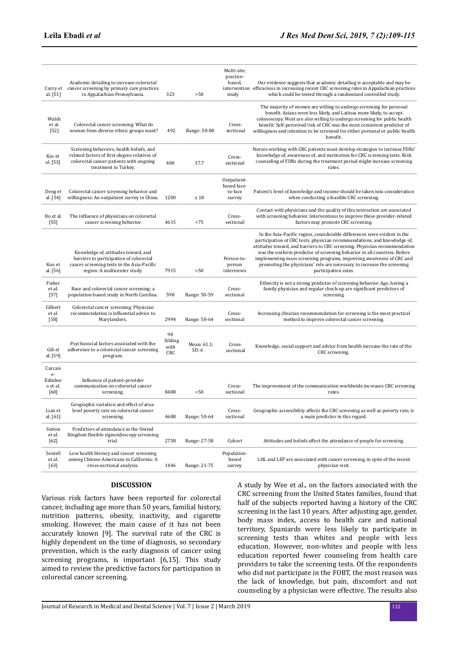| Curry et<br>al. [51]                           | Academic detailing to increase colorectal<br>cancer screening by primary care practices<br>in Appalachian Pennsylvania.                                      | 323                          | >50                  | Multi-site,<br>practice-<br>based,<br>study     | Our evidence suggests that academic detailing is acceptable and may be<br>intervention efficacious in increasing recent CRC screening rates in Appalachian practices<br>which could be tested through a randomized controlled study.                                                                                                                                                                                                                                                    |
|------------------------------------------------|--------------------------------------------------------------------------------------------------------------------------------------------------------------|------------------------------|----------------------|-------------------------------------------------|-----------------------------------------------------------------------------------------------------------------------------------------------------------------------------------------------------------------------------------------------------------------------------------------------------------------------------------------------------------------------------------------------------------------------------------------------------------------------------------------|
| Walsh<br>et al.<br>$[52]$                      | Colorectal cancer screening: What do<br>women from diverse ethnic groups want?                                                                               | 492                          | Range: 50-80         | Cross-<br>sectional                             | The majority of women are willing to undergo screening for personal<br>benefit. Asians were less likely, and Latinas more likely, to accept<br>colonoscopy. Most are also willing to undergo screening for public health<br>benefit. Self-perceived risk of CRC was the most consistent predictor of<br>willingness and intention to be screened for either personal or public health<br>benefit.                                                                                       |
| Koc et<br>al. [53]                             | Screening behaviors, health beliefs, and<br>related factors of first-degree relatives of<br>colorectal cancer patients with ongoing<br>treatment in Turkey.  | 400                          | 37.7                 | Cross-<br>sectional                             | Nurses working with CRC patients must develop strategies to increase FDRs'<br>knowledge of, awareness of, and motivation for CRC screening tests. Risk<br>counseling of FDRs during the treatment period might increase screening<br>rates.                                                                                                                                                                                                                                             |
| Deng et<br>al. [54]                            | Colorectal cancer screening behavior and<br>willingness: An outpatient survey in China.                                                                      | 1200                         | $\geq 18$            | Outpatient-<br>based face-<br>to-face<br>survey | Patient's level of knowledge and income should be taken into consideration<br>when conducting a feasible CRC screening.                                                                                                                                                                                                                                                                                                                                                                 |
| Ho et al.<br>$[55]$                            | The influence of physicians on colorectal<br>cancer screening behavior.                                                                                      | 4615                         | >75                  | Cross-<br>sectional                             | Contact with physicians and the quality of this interaction are associated<br>with screening behavior. Interventions to improve these provider-related<br>factors may promote CRC screening.                                                                                                                                                                                                                                                                                            |
| Koo et<br>al. [56]                             | Knowledge of, attitudes toward, and<br>barriers to participation of colorectal<br>cancer screening tests in the Asia-Pacific<br>region: A multicenter study. | 7915                         | >50                  | Person-to-<br>person<br>interviews              | In the Asia-Pacific region, considerable differences were evident in the<br>participation of CRC tests, physician recommendations, and knowledge of,<br>attitudes toward, and barriers to CRC screening. Physician recommendation<br>was the uniform predictor of screening behavior in all countries. Before<br>implementing mass screening programs, improving awareness of CRC and<br>promoting the physicians' role are necessary to increase the screening<br>participation rates. |
| Fisher<br>et al.<br>$[57]$                     | Race and colorectal cancer screening: a<br>population-based study in North Carolina.                                                                         | 598                          | Range: 50-59         | Cross-<br>sectional                             | Ethnicity is not a strong predictor of screening behavior. Age, having a<br>family physician and regular check-up are significant predictors of<br>screening.                                                                                                                                                                                                                                                                                                                           |
| Gilbert<br>et al.<br>$[58]$                    | Colorectal cancer screening: Physician<br>recommendation is influential advice to<br>Marylanders.                                                            | 2994                         | Range: 50-64         | Cross-<br>sectional                             | Increasing clinician recommendation for screening is the most practical<br>method to improve colorectal cancer screening.                                                                                                                                                                                                                                                                                                                                                               |
| Gili et<br>al. [59]                            | Psychosocial factors associated with the<br>adherence to a colorectal cancer screening<br>program.                                                           | 90<br>Sibling<br>with<br>CRC | Mean: 61.1;<br>SD: 6 | Cross-<br>sectional                             | Knowledge, social support and advice from health increase the rate of the<br>CRC screening.                                                                                                                                                                                                                                                                                                                                                                                             |
| Carcais<br>$e-$<br>Edinbor<br>o et al.<br>[60] | Influence of patient-provider<br>communication on colorectal cancer<br>screening.                                                                            | 8488                         | < 50                 | Cross-<br>sectional                             | The improvement of the communication worldwide increases CRC screening<br>rates.                                                                                                                                                                                                                                                                                                                                                                                                        |
| Lian et<br>al. [61]                            | Geographic variation and effect of area-<br>level poverty rate on colorectal cancer<br>screening.                                                            | 4688                         | Range: 50-64         | Cross-<br>sectional                             | Geographic accessibility affects the CRC screening as well as poverty rate, is<br>a main predictor in this regard.                                                                                                                                                                                                                                                                                                                                                                      |
| Sutton<br>et al.<br>$[62]$                     | Predictors of attendance in the United<br>Kingdom flexible sigmoidoscopy screening<br>trial.                                                                 | 2758                         | Range: 27-58         | Cohort                                          | Attitudes and beliefs affect the attendance of people for screening.                                                                                                                                                                                                                                                                                                                                                                                                                    |
| Sentell<br>et al.<br>$[63]$                    | Low health literacy and cancer screening<br>among Chinese Americans in California: A<br>cross-sectional analysis.                                            | 1446                         | Range: 21-75         | Population-<br>based<br>survey                  | LHL and LEP are associated with cancer screening, in spite of the recent<br>physician visit.                                                                                                                                                                                                                                                                                                                                                                                            |

# **DISCUSSION**

Various risk factors have been reported for colorectal cancer, including age more than 50 years, familial history, nutrition patterns, obesity, inactivity, and cigarette smoking. However, the main cause of it has not been accurately known [9]. The survival rate of the CRC is highly dependent on the time of diagnosis, so secondary prevention, which is the early diagnosis of cancer using screening programs, is important [6,15]. This study aimed to review the predictive factors for participation in colorectal cancer screening.

A study by Wee et al., on the factors associated with the CRC screening from the United States families, found that half of the subjects reported having a history of the CRC screening in the last 10 years. After adjusting age, gender, body mass index, access to health care and national territory, Spaniards were less likely to participate in screening tests than whites and people with less education. However, non-whites and people with less education reported fewer counseling from health care providers to take the screening tests. Of the respondents who did not participate in the FOBT, the most reason was the lack of knowledge, but pain, discomfort and not counseling by a physician were effective. The results also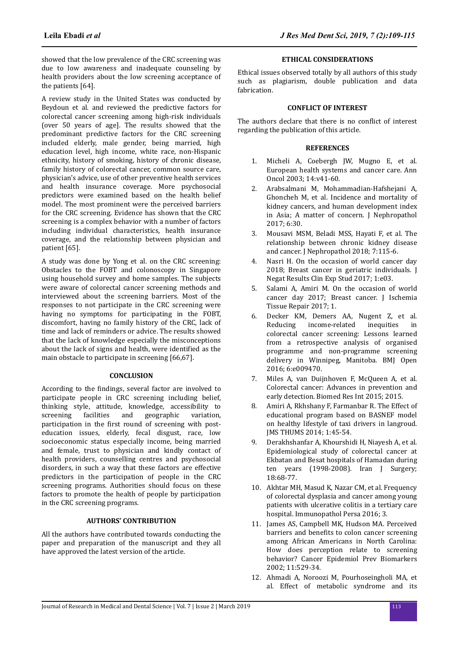showed that the low prevalence of the CRC screening was due to low awareness and inadequate counseling by health providers about the low screening acceptance of the patients [64].

A review study in the United States was conducted by Beydoun et al. and reviewed the predictive factors for colorectal cancer screening among high-risk individuals (over 50 years of age]. The results showed that the predominant predictive factors for the CRC screening included elderly, male gender, being married, high education level, high income, white race, non-Hispanic ethnicity, history of smoking, history of chronic disease, family history of colorectal cancer, common source care, physician's advice, use of other preventive health services and health insurance coverage. More psychosocial predictors were examined based on the health belief model. The most prominent were the perceived barriers for the CRC screening. Evidence has shown that the CRC screening is a complex behavior with a number of factors including individual characteristics, health insurance coverage, and the relationship between physician and patient [65].

A study was done by Yong et al. on the CRC screening: Obstacles to the FOBT and colonoscopy in Singapore using household survey and home samples. The subjects were aware of colorectal cancer screening methods and interviewed about the screening barriers. Most of the responses to not participate in the CRC screening were having no symptoms for participating in the FOBT, discomfort, having no family history of the CRC, lack of time and lack of reminders or advice. The results showed that the lack of knowledge especially the misconceptions about the lack of signs and health, were identified as the main obstacle to participate in screening [66,67].

# **CONCLUSION**

According to the findings, several factor are involved to participate people in CRC screening including belief, thinking style, attitude, knowledge, accessibility to screening facilities and geographic variation, participation in the first round of screening with posteducation issues, elderly, fecal disgust, race, low socioeconomic status especially income, being married and female, trust to physician and kindly contact of health providers, counselling centres and psychosocial disorders, in such a way that these factors are effective predictors in the participation of people in the CRC screening programs. Authorities should focus on these factors to promote the health of people by participation in the CRC screening programs.

#### **AUTHORS' CONTRIBUTION**

All the authors have contributed towards conducting the paper and preparation of the manuscript and they all have approved the latest version of the article.

#### **ETHICAL CONSIDERATIONS**

Ethical issues observed totally by all authors of this study such as plagiarism, double publication and data fabrication.

### **CONFLICT OF INTEREST**

The authors declare that there is no conflict of interest regarding the publication of this article.

# **REFERENCES**

- 1. Micheli A, Coebergh JW, Mugno E, et al. European health systems and cancer care. Ann Oncol 2003; 14:v41-60.
- 2. Arabsalmani M, Mohammadian-Hafshejani A, Ghoncheh M, et al. Incidence and mortality of kidney cancers, and human development index in Asia; A matter of concern. J Nephropathol 2017; 6:30.
- 3. Mousavi MSM, Beladi MSS, Hayati F, et al. The relationship between chronic kidney disease and cancer. J Nephropathol 2018; 7:115-6.
- 4. Nasri H. On the occasion of world cancer day 2018; Breast cancer in geriatric individuals. J Negat Results Clin Exp Stud 2017; 1:e03.
- 5. Salami A, Amiri M. On the occasion of world cancer day 2017; Breast cancer. J Ischemia Tissue Repair 2017; 1.
- 6. Decker KM, Demers AA, Nugent Z, et al. Reducing income-related inequities in colorectal cancer screening: Lessons learned from a retrospective analysis of organised programme and non-programme screening delivery in Winnipeg, Manitoba. BMJ Open 2016; 6:e009470.
- 7. Miles A, van Duijnhoven F, McQueen A, et al. Colorectal cancer: Advances in prevention and early detection. Biomed Res Int 2015; 2015.
- 8. Amiri A, Rkhshany F, Farmanbar R. The Effect of educational program based on BASNEF model on healthy lifestyle of taxi drivers in langroud. JMS THUMS 2014; 1:45-54.
- 9. Derakhshanfar A, Khourshidi H, Niayesh A, et al. Epidemiological study of colorectal cancer at Ekbatan and Besat hospitals of Hamadan during ten years (1998-2008). Iran J Surgery; 18:68-77.
- 10. Akhtar MH, Masud K, Nazar CM, et al. Frequency of colorectal dysplasia and cancer among young patients with ulcerative colitis in a tertiary care hospital. Immunopathol Persa 2016; 3.
- 11. James AS, Campbell MK, Hudson MA. Perceived barriers and benefits to colon cancer screening among African Americans in North Carolina: How does perception relate to screening behavior? Cancer Epidemiol Prev Biomarkers 2002; 11:529-34.
- 12. Ahmadi A, Noroozi M, Pourhoseingholi MA, et al. Effect of metabolic syndrome and its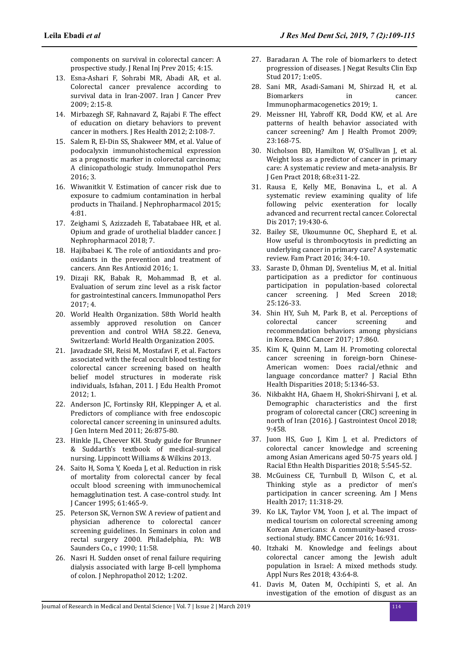components on survival in colorectal cancer: A prospective study. J Renal Inj Prev 2015; 4:15.

- 13. Esna-Ashari F, Sohrabi MR, Abadi AR, et al. Colorectal cancer prevalence according to survival data in Iran-2007. Iran J Cancer Prev 2009; 2:15-8.
- 14. Mirbazegh SF, Rahnavard Z, Rajabi F. The effect of education on dietary behaviors to prevent cancer in mothers. J Res Health 2012; 2:108-7.
- 15. Salem R, El-Din SS, Shakweer MM, et al. Value of podocalyxin immunohistochemical expression as a prognostic marker in colorectal carcinoma; A clinicopathologic study. Immunopathol Pers 2016; 3.
- 16. Wiwanitkit V. Estimation of cancer risk due to exposure to cadmium contamination in herbal products in Thailand. J Nephropharmacol 2015; 4:81.
- 17. Zeighami S, Azizzadeh E, Tabatabaee HR, et al. Opium and grade of urothelial bladder cancer. J Nephropharmacol 2018; 7.
- 18. Hajibabaei K. The role of antioxidants and prooxidants in the prevention and treatment of cancers. Ann Res Antioxid 2016; 1.
- 19. Dizaji RK, Babak R, Mohammad B, et al. Evaluation of serum zinc level as a risk factor for gastrointestinal cancers. Immunopathol Pers 2017; 4.
- 20. World Health Organization. 58th World health assembly approved resolution on Cancer prevention and control WHA 58.22. Geneva, Switzerland: World Health Organization 2005.
- 21. Javadzade SH, Reisi M, Mostafavi F, et al. Factors associated with the fecal occult blood testing for colorectal cancer screening based on health belief model structures in moderate risk individuals, Isfahan, 2011. J Edu Health Promot 2012; 1.
- 22. Anderson JC, Fortinsky RH, Kleppinger A, et al. Predictors of compliance with free endoscopic colorectal cancer screening in uninsured adults. J Gen Intern Med 2011; 26:875-80.
- 23. Hinkle JL, Cheever KH. Study guide for Brunner & Suddarth's textbook of medical-surgical nursing. Lippincott Williams & Wilkins 2013.
- 24. Saito H, Soma Y, Koeda J, et al. Reduction in risk of mortality from colorectal cancer by fecal occult blood screening with immunochemical hemagglutination test. A case-control study. Int J Cancer 1995; 61:465-9.
- 25. Peterson SK, Vernon SW. A review of patient and physician adherence to colorectal cancer screening guidelines. In Seminars in colon and rectal surgery 2000. Philadelphia, PA: WB Saunders Co., c 1990; 11:58.
- 26. Nasri H. Sudden onset of renal failure requiring dialysis associated with large B-cell lymphoma of colon. J Nephropathol 2012; 1:202.
- 27. Baradaran A. The role of biomarkers to detect progression of diseases. J Negat Results Clin Exp Stud 2017; 1:e05.
- 28. Sani MR, Asadi-Samani M, Shirzad H, et al. Biomarkers in cancer. Immunopharmacogenetics 2019; 1.
- 29. Meissner HI, Yabroff KR, Dodd KW, et al. Are patterns of health behavior associated with cancer screening? Am J Health Promot 2009; 23:168-75.
- 30. Nicholson BD, Hamilton W, O'Sullivan J, et al. Weight loss as a predictor of cancer in primary care: A systematic review and meta-analysis. Br J Gen Pract 2018; 68:e311-22.
- 31. Rausa E, Kelly ME, Bonavina L, et al. A systematic review examining quality of life following pelvic exenteration for locally advanced and recurrent rectal cancer. Colorectal Dis 2017; 19:430-6.
- 32. Bailey SE, Ukoumunne OC, Shephard E, et al. How useful is thrombocytosis in predicting an underlying cancer in primary care? A systematic review. Fam Pract 2016; 34:4-10.
- 33. Saraste D, Öhman DI, Sventelius M, et al. Initial participation as a predictor for continuous participation in population-based colorectal cancer screening. J Med Screen 2018; 25:126-33.
- 34. Shin HY, Suh M, Park B, et al. Perceptions of colorectal cancer screening and recommendation behaviors among physicians in Korea. BMC Cancer 2017; 17:860.
- 35. Kim K, Quinn M, Lam H. Promoting colorectal cancer screening in foreign-born Chinese-American women: Does racial/ethnic and language concordance matter? J Racial Ethn Health Disparities 2018; 5:1346-53.
- 36. Nikbakht HA, Ghaem H, Shokri-Shirvani J, et al. Demographic characteristics and the first program of colorectal cancer (CRC) screening in north of Iran (2016). J Gastrointest Oncol 2018; 9:458.
- 37. Juon HS, Guo J, Kim J, et al. Predictors of colorectal cancer knowledge and screening among Asian Americans aged 50-75 years old. J Racial Ethn Health Disparities 2018; 5:545-52.
- 38. McGuiness CE, Turnbull D, Wilson C, et al. Thinking style as a predictor of men's participation in cancer screening. Am J Mens Health 2017; 11:318-29.
- 39. Ko LK, Taylor VM, Yoon J, et al. The impact of medical tourism on colorectal screening among Korean Americans: A community-based crosssectional study. BMC Cancer 2016; 16:931.
- 40. Itzhaki M. Knowledge and feelings about colorectal cancer among the Jewish adult population in Israel: A mixed methods study. Appl Nurs Res 2018; 43:64-8.
- 41. Davis M, Oaten M, Occhipinti S, et al. An investigation of the emotion of disgust as an